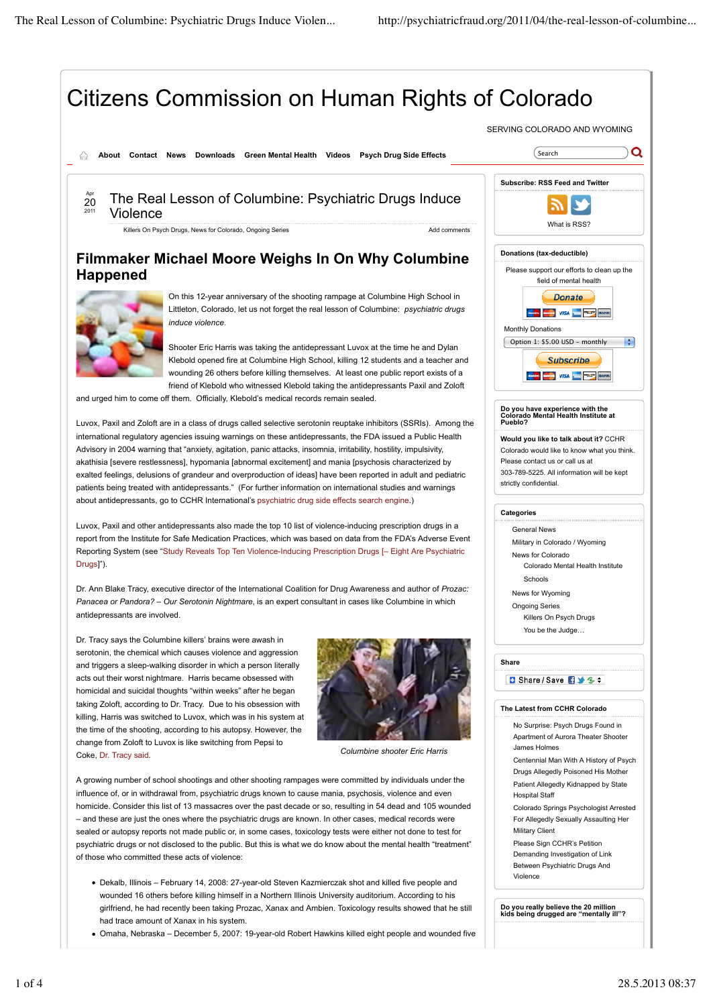